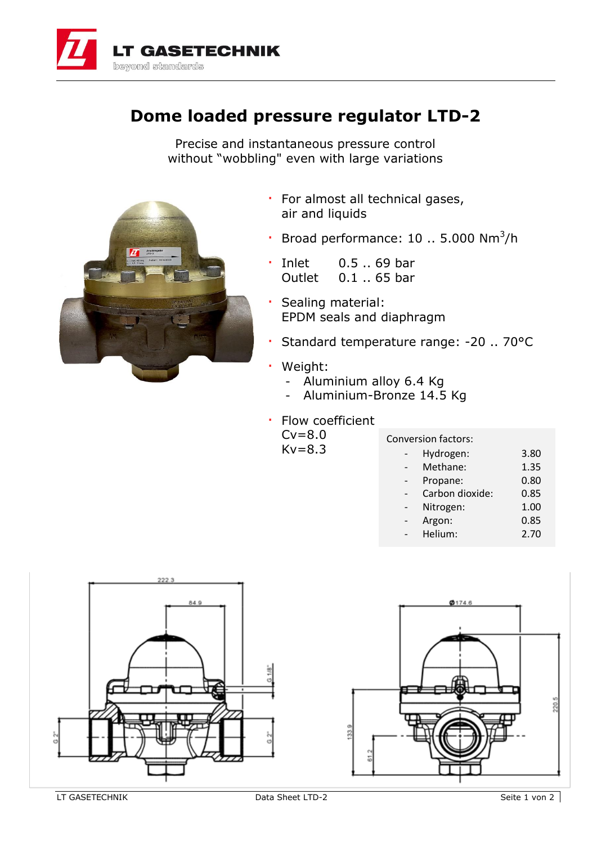

## **Dome loaded pressure regulator LTD-2**

Precise and instantaneous pressure control without "wobbling" even with large variations



- · For almost all technical gases, air and liquids
- $\cdot$  Broad performance: 10 .. 5.000 Nm<sup>3</sup>/h
- · Inlet 0.5 .. 69 bar Outlet 0.1 .. 65 bar
- · Sealing material: EPDM seals and diaphragm
- · Standard temperature range: -20 .. 70°C
- · Weight:

 $Kv=8.3$ 

- Aluminium alloy 6.4 Kg
- Aluminium-Bronze 14.5 Kg
- Flow coefficient  $Cv=8.0$

|  | Conversion factors: |      |
|--|---------------------|------|
|  | Hydrogen:           | 3.80 |
|  | Methane:            | 1.35 |
|  | Propane:            | 0.80 |
|  | Carbon dioxide:     | 0.85 |
|  | Nitrogen:           | 1.00 |
|  | Argon:              | 0.85 |
|  | Helium:             | 2.70 |
|  |                     |      |